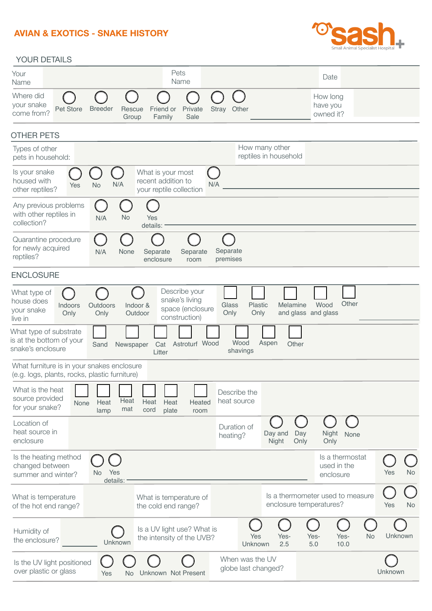## **AVIAN & EXOTICS - SNAKE HISTORY**



## YOUR DETAILS

| Your<br>Name                                                                                | Pets<br>Name                                                                                |                                               |                                                    | Date                                        |                  |
|---------------------------------------------------------------------------------------------|---------------------------------------------------------------------------------------------|-----------------------------------------------|----------------------------------------------------|---------------------------------------------|------------------|
| Where did<br>your snake<br>Pet Store<br>come from?                                          | <b>Breeder</b><br>Friend or<br>Rescue<br>Group<br>Family                                    | Private<br>Other<br><b>Stray</b><br>Sale      |                                                    | How long<br>have you<br>owned it?           |                  |
| <b>OTHER PETS</b>                                                                           |                                                                                             |                                               |                                                    |                                             |                  |
| Types of other<br>pets in household:                                                        |                                                                                             |                                               | How many other<br>reptiles in household            |                                             |                  |
| Is your snake<br>housed with<br>Yes<br><b>No</b><br>other reptiles?                         | What is your most<br>recent addition to<br>N/A<br>your reptile collection                   | N/A                                           |                                                    |                                             |                  |
| Any previous problems<br>with other reptiles in<br>collection?                              | <b>No</b><br>N/A<br>Yes<br>details:                                                         |                                               |                                                    |                                             |                  |
| Quarantine procedure<br>for newly acquired<br>reptiles?                                     | None<br>Separate<br>N/A<br>enclosure                                                        | Separate<br>Separate<br>premises<br>room      |                                                    |                                             |                  |
| <b>ENCLOSURE</b>                                                                            |                                                                                             |                                               |                                                    |                                             |                  |
| What type of<br>house does<br>Indoors<br>your snake<br>Only<br>live in                      | Describe your<br>snake's living<br>Outdoors<br>Indoor &<br>Outdoor<br>Only<br>construction) | Glass<br>space (enclosure<br>Only             | Plastic<br>Melamine<br>and glass and glass<br>Only | Other<br>Wood                               |                  |
| What type of substrate<br>is at the bottom of your<br>snake's enclosure                     | Cat<br>Sand<br>Newspaper<br>Litter                                                          | Wood<br>Astroturf Wood<br>shavings            | Aspen<br>Other                                     |                                             |                  |
| What furniture is in your snakes enclosure<br>(e.g. logs, plants, rocks, plastic furniture) |                                                                                             |                                               |                                                    |                                             |                  |
| What is the heat<br>source provided<br>None<br>for your snake?                              | Heat<br>Heat<br>Heat<br>Heat<br>mat<br>cord<br>plate<br>lamp                                | Describe the<br>heat source<br>Heated<br>room |                                                    |                                             |                  |
| Location of<br>heat source in<br>enclosure                                                  |                                                                                             | Duration of<br>heating?                       | Day and<br>Day<br>Night<br>Only                    | Night<br>None<br>Only                       |                  |
| Is the heating method<br>changed between<br>summer and winter?                              | Yes<br>No.<br>details:                                                                      |                                               |                                                    | Is a thermostat<br>used in the<br>enclosure | <b>No</b><br>Yes |
| What is temperature<br>of the hot end range?                                                | What is temperature of<br>the cold end range?                                               |                                               | enclosure temperatures?                            | Is a thermometer used to measure            | Yes<br><b>No</b> |
| Humidity of<br>the enclosure?                                                               | Is a UV light use? What is<br>the intensity of the UVB?<br>Unknown                          | Yes<br>Unknown                                | Yes-<br>Yes-<br>2.5<br>5.0                         | Yes-<br><b>No</b><br>10.0                   | Unknown          |
| Is the UV light positioned<br>over plastic or glass                                         | Unknown Not Present<br><b>No</b><br>Yes                                                     | When was the UV<br>globe last changed?        |                                                    |                                             | Unknown          |